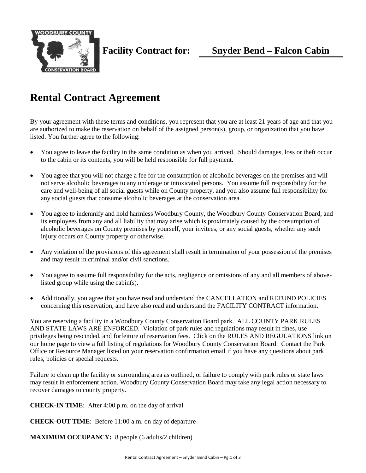

# **Rental Contract Agreement**

By your agreement with these terms and conditions, you represent that you are at least 21 years of age and that you are authorized to make the reservation on behalf of the assigned person(s), group, or organization that you have listed. You further agree to the following:

- You agree to leave the facility in the same condition as when you arrived. Should damages, loss or theft occur to the cabin or its contents, you will be held responsible for full payment.
- You agree that you will not charge a fee for the consumption of alcoholic beverages on the premises and will not serve alcoholic beverages to any underage or intoxicated persons. You assume full responsibility for the care and well-being of all social guests while on County property, and you also assume full responsibility for any social guests that consume alcoholic beverages at the conservation area.
- You agree to indemnify and hold harmless Woodbury County, the Woodbury County Conservation Board, and its employees from any and all liability that may arise which is proximately caused by the consumption of alcoholic beverages on County premises by yourself, your invitees, or any social guests, whether any such injury occurs on County property or otherwise.
- Any violation of the provisions of this agreement shall result in termination of your possession of the premises and may result in criminal and/or civil sanctions.
- You agree to assume full responsibility for the acts, negligence or omissions of any and all members of abovelisted group while using the cabin(s).
- Additionally, you agree that you have read and understand the [CANCELLATIO](http://linncountyconservation.wordpress.com/policies/contracts/cabin-rental/#cancellation%20policy)N [and REFUND](http://linncountyconservation.wordpress.com/policies/contracts/cabin-rental/#refund%20policy) [POLICIES](http://linncountyconservation.wordpress.com/policies/contracts/cabin-rental/#refund%20policy)  concerning this reservation, and have also read and understand the FACILITY CONTRACT information.

You are reserving a facility in a Woodbury County Conservation Board park. ALL COUNTY PARK RULES AND STATE LAWS ARE ENFORCED. Violation of park rules and regulations may result in fines, use privileges being rescinded, and forfeiture of reservation fees. Click on the RULES AND REGULATIONS link on our home page to view a full listing of regulations for Woodbury County Conservation Board. Contact the Park Office or Resource Manager listed on your reservation confirmation email if you have any questions about park rules, policies or special requests.

Failure to clean up the facility or surrounding area as outlined, or failure to comply with park rules or state laws may result in enforcement action. Woodbury County Conservation Board may take any legal action necessary to recover damages to county property.

**CHECK-IN TIME**: After 4:00 p.m. on the day of arrival

**CHECK-OUT TIME**: Before 11:00 a.m. on day of departure

**MAXIMUM OCCUPANCY:** 8 people (6 adults/2 children)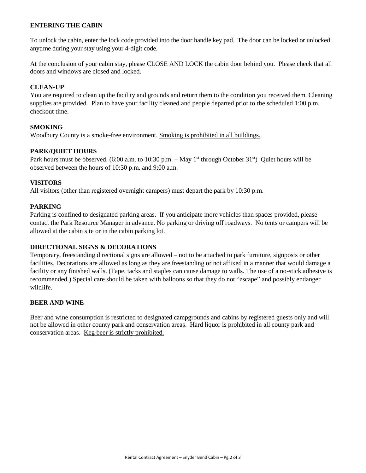## **ENTERING THE CABIN**

To unlock the cabin, enter the lock code provided into the door handle key pad. The door can be locked or unlocked anytime during your stay using your 4-digit code.

At the conclusion of your cabin stay, please CLOSE AND LOCK the cabin door behind you. Please check that all doors and windows are closed and locked.

## **CLEAN-UP**

You are required to clean up the facility and grounds and return them to the condition you received them. Cleaning supplies are provided. Plan to have your facility cleaned and people departed prior to the scheduled 1:00 p.m. checkout time.

## **SMOKING**

Woodbury County is a smoke-free environment. Smoking is prohibited in all buildings.

# **PARK/QUIET HOURS**

Park hours must be observed. (6:00 a.m. to 10:30 p.m. – May 1<sup>st</sup> through October 31<sup>st</sup>) Quiet hours will be observed between the hours of 10:30 p.m. and 9:00 a.m.

## **VISITORS**

All visitors (other than registered overnight campers) must depart the park by 10:30 p.m.

## **PARKING**

Parking is confined to designated parking areas. If you anticipate more vehicles than spaces provided, please contact the Park Resource Manager in advance. No parking or driving off roadways. No tents or campers will be allowed at the cabin site or in the cabin parking lot.

## **DIRECTIONAL SIGNS & DECORATIONS**

Temporary, freestanding directional signs are allowed – not to be attached to park furniture, signposts or other facilities. Decorations are allowed as long as they are freestanding or not affixed in a manner that would damage a facility or any finished walls. (Tape, tacks and staples can cause damage to walls. The use of a no-stick adhesive is recommended.) Special care should be taken with balloons so that they do not "escape" and possibly endanger wildlife.

## **BEER AND WINE**

Beer and wine consumption is restricted to designated campgrounds and cabins by registered guests only and will not be allowed in other county park and conservation areas. Hard liquor is prohibited in all county park and conservation areas. Keg beer is strictly prohibited.